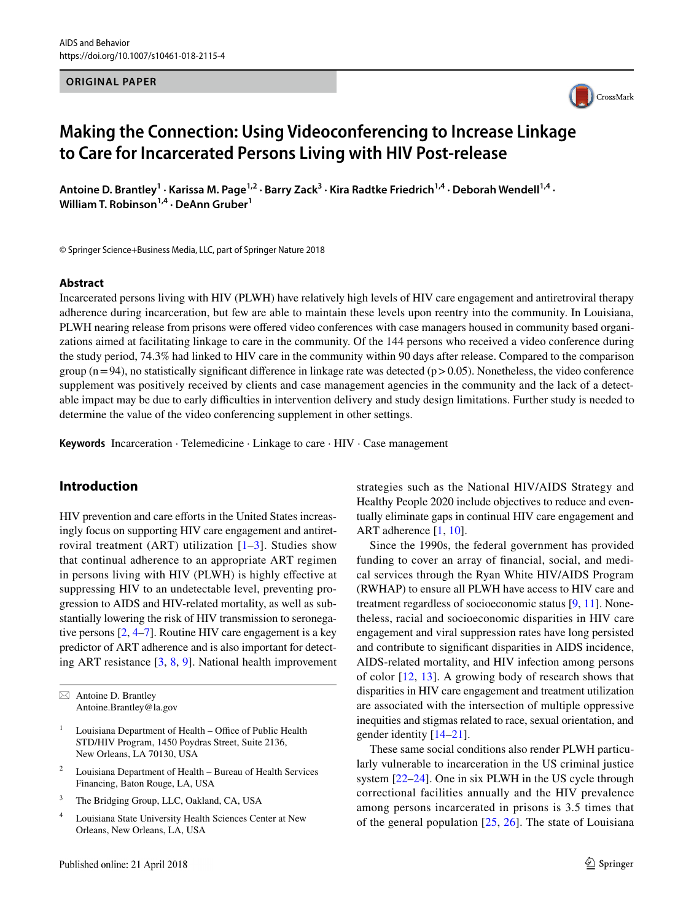## **ORIGINAL PAPER**



# **Making the Connection: Using Videoconferencing to Increase Linkage to Care for Incarcerated Persons Living with HIV Post‑release**

Antoine D. Brantley<sup>1</sup> · Karissa M. Page<sup>1,2</sup> · Barry Zack<sup>3</sup> · Kira Radtke Friedrich<sup>1,4</sup> · Deborah Wendell<sup>1,4</sup> · William T. Robinson<sup>1,4</sup> · DeAnn Gruber<sup>1</sup>

© Springer Science+Business Media, LLC, part of Springer Nature 2018

#### **Abstract**

Incarcerated persons living with HIV (PLWH) have relatively high levels of HIV care engagement and antiretroviral therapy adherence during incarceration, but few are able to maintain these levels upon reentry into the community. In Louisiana, PLWH nearing release from prisons were ofered video conferences with case managers housed in community based organizations aimed at facilitating linkage to care in the community. Of the 144 persons who received a video conference during the study period, 74.3% had linked to HIV care in the community within 90 days after release. Compared to the comparison group ( $n=94$ ), no statistically significant difference in linkage rate was detected ( $p>0.05$ ). Nonetheless, the video conference supplement was positively received by clients and case management agencies in the community and the lack of a detectable impact may be due to early difficulties in intervention delivery and study design limitations. Further study is needed to determine the value of the video conferencing supplement in other settings.

**Keywords** Incarceration · Telemedicine · Linkage to care · HIV · Case management

# **Introduction**

HIV prevention and care efforts in the United States increasingly focus on supporting HIV care engagement and antiretroviral treatment (ART) utilization  $[1-3]$  $[1-3]$  $[1-3]$ . Studies show that continual adherence to an appropriate ART regimen in persons living with HIV (PLWH) is highly efective at suppressing HIV to an undetectable level, preventing progression to AIDS and HIV-related mortality, as well as substantially lowering the risk of HIV transmission to seronegative persons [\[2](#page-7-2), [4–](#page-7-3)[7\]](#page-7-4). Routine HIV care engagement is a key predictor of ART adherence and is also important for detecting ART resistance [[3,](#page-7-1) [8](#page-7-5), [9\]](#page-7-6). National health improvement

 $\boxtimes$  Antoine D. Brantley Antoine.Brantley@la.gov

- Louisiana Department of Health Office of Public Health STD/HIV Program, 1450 Poydras Street, Suite 2136, New Orleans, LA 70130, USA
- <sup>2</sup> Louisiana Department of Health Bureau of Health Services Financing, Baton Rouge, LA, USA
- <sup>3</sup> The Bridging Group, LLC, Oakland, CA, USA
- <sup>4</sup> Louisiana State University Health Sciences Center at New Orleans, New Orleans, LA, USA

strategies such as the National HIV/AIDS Strategy and Healthy People 2020 include objectives to reduce and eventually eliminate gaps in continual HIV care engagement and ART adherence [\[1](#page-7-0), [10](#page-7-7)].

Since the 1990s, the federal government has provided funding to cover an array of fnancial, social, and medical services through the Ryan White HIV/AIDS Program (RWHAP) to ensure all PLWH have access to HIV care and treatment regardless of socioeconomic status [\[9](#page-7-6), [11](#page-7-8)]. Nonetheless, racial and socioeconomic disparities in HIV care engagement and viral suppression rates have long persisted and contribute to signifcant disparities in AIDS incidence, AIDS-related mortality, and HIV infection among persons of color [\[12,](#page-7-9) [13\]](#page-7-10). A growing body of research shows that disparities in HIV care engagement and treatment utilization are associated with the intersection of multiple oppressive inequities and stigmas related to race, sexual orientation, and gender identity [[14–](#page-7-11)[21\]](#page-7-12).

These same social conditions also render PLWH particularly vulnerable to incarceration in the US criminal justice system [[22](#page-7-13)[–24](#page-7-14)]. One in six PLWH in the US cycle through correctional facilities annually and the HIV prevalence among persons incarcerated in prisons is 3.5 times that of the general population [[25,](#page-7-15) [26\]](#page-7-16). The state of Louisiana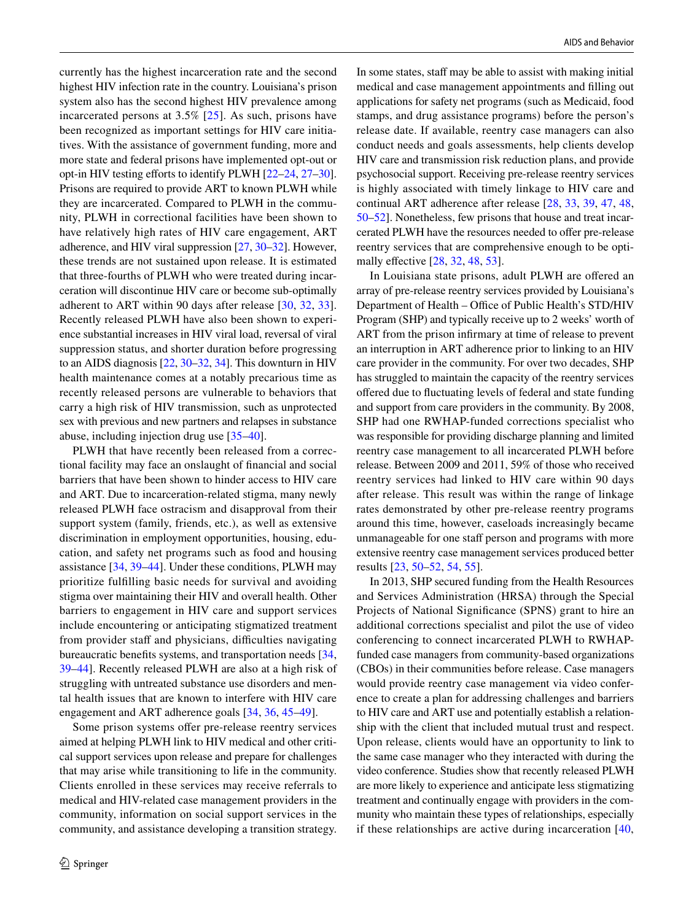currently has the highest incarceration rate and the second highest HIV infection rate in the country. Louisiana's prison system also has the second highest HIV prevalence among incarcerated persons at 3.5% [[25](#page-7-15)]. As such, prisons have been recognized as important settings for HIV care initiatives. With the assistance of government funding, more and more state and federal prisons have implemented opt-out or opt-in HIV testing efforts to identify PLWH  $[22-24, 27-30]$  $[22-24, 27-30]$  $[22-24, 27-30]$  $[22-24, 27-30]$  $[22-24, 27-30]$ . Prisons are required to provide ART to known PLWH while they are incarcerated. Compared to PLWH in the community, PLWH in correctional facilities have been shown to have relatively high rates of HIV care engagement, ART adherence, and HIV viral suppression [\[27](#page-7-17), [30–](#page-8-0)[32\]](#page-8-1). However, these trends are not sustained upon release. It is estimated that three-fourths of PLWH who were treated during incarceration will discontinue HIV care or become sub-optimally adherent to ART within 90 days after release [[30,](#page-8-0) [32,](#page-8-1) [33](#page-8-2)]. Recently released PLWH have also been shown to experience substantial increases in HIV viral load, reversal of viral suppression status, and shorter duration before progressing to an AIDS diagnosis [\[22](#page-7-13), [30–](#page-8-0)[32,](#page-8-1) [34](#page-8-3)]. This downturn in HIV health maintenance comes at a notably precarious time as recently released persons are vulnerable to behaviors that carry a high risk of HIV transmission, such as unprotected sex with previous and new partners and relapses in substance abuse, including injection drug use [[35](#page-8-4)[–40](#page-8-5)].

PLWH that have recently been released from a correctional facility may face an onslaught of fnancial and social barriers that have been shown to hinder access to HIV care and ART. Due to incarceration-related stigma, many newly released PLWH face ostracism and disapproval from their support system (family, friends, etc.), as well as extensive discrimination in employment opportunities, housing, education, and safety net programs such as food and housing assistance [[34,](#page-8-3) [39–](#page-8-6)[44\]](#page-8-7). Under these conditions, PLWH may prioritize fulflling basic needs for survival and avoiding stigma over maintaining their HIV and overall health. Other barriers to engagement in HIV care and support services include encountering or anticipating stigmatized treatment from provider staff and physicians, difficulties navigating bureaucratic benefts systems, and transportation needs [[34,](#page-8-3) [39](#page-8-6)[–44](#page-8-7)]. Recently released PLWH are also at a high risk of struggling with untreated substance use disorders and mental health issues that are known to interfere with HIV care engagement and ART adherence goals [[34](#page-8-3), [36](#page-8-8), [45](#page-8-9)[–49](#page-8-10)].

Some prison systems offer pre-release reentry services aimed at helping PLWH link to HIV medical and other critical support services upon release and prepare for challenges that may arise while transitioning to life in the community. Clients enrolled in these services may receive referrals to medical and HIV-related case management providers in the community, information on social support services in the community, and assistance developing a transition strategy. In some states, staff may be able to assist with making initial medical and case management appointments and flling out applications for safety net programs (such as Medicaid, food stamps, and drug assistance programs) before the person's release date. If available, reentry case managers can also conduct needs and goals assessments, help clients develop HIV care and transmission risk reduction plans, and provide psychosocial support. Receiving pre-release reentry services is highly associated with timely linkage to HIV care and continual ART adherence after release [[28,](#page-7-18) [33](#page-8-2), [39,](#page-8-6) [47](#page-8-11), [48,](#page-8-12) [50](#page-8-13)[–52](#page-8-14)]. Nonetheless, few prisons that house and treat incarcerated PLWH have the resources needed to offer pre-release reentry services that are comprehensive enough to be opti-mally effective [[28,](#page-7-18) [32,](#page-8-1) [48,](#page-8-12) [53](#page-8-15)].

In Louisiana state prisons, adult PLWH are ofered an array of pre-release reentry services provided by Louisiana's Department of Health – Office of Public Health's STD/HIV Program (SHP) and typically receive up to 2 weeks' worth of ART from the prison infrmary at time of release to prevent an interruption in ART adherence prior to linking to an HIV care provider in the community. For over two decades, SHP has struggled to maintain the capacity of the reentry services offered due to fluctuating levels of federal and state funding and support from care providers in the community. By 2008, SHP had one RWHAP-funded corrections specialist who was responsible for providing discharge planning and limited reentry case management to all incarcerated PLWH before release. Between 2009 and 2011, 59% of those who received reentry services had linked to HIV care within 90 days after release. This result was within the range of linkage rates demonstrated by other pre-release reentry programs around this time, however, caseloads increasingly became unmanageable for one staff person and programs with more extensive reentry case management services produced better results [\[23](#page-7-19), [50–](#page-8-13)[52,](#page-8-14) [54,](#page-8-16) [55\]](#page-8-17).

In 2013, SHP secured funding from the Health Resources and Services Administration (HRSA) through the Special Projects of National Signifcance (SPNS) grant to hire an additional corrections specialist and pilot the use of video conferencing to connect incarcerated PLWH to RWHAPfunded case managers from community-based organizations (CBOs) in their communities before release. Case managers would provide reentry case management via video conference to create a plan for addressing challenges and barriers to HIV care and ART use and potentially establish a relationship with the client that included mutual trust and respect. Upon release, clients would have an opportunity to link to the same case manager who they interacted with during the video conference. Studies show that recently released PLWH are more likely to experience and anticipate less stigmatizing treatment and continually engage with providers in the community who maintain these types of relationships, especially if these relationships are active during incarceration [\[40,](#page-8-5)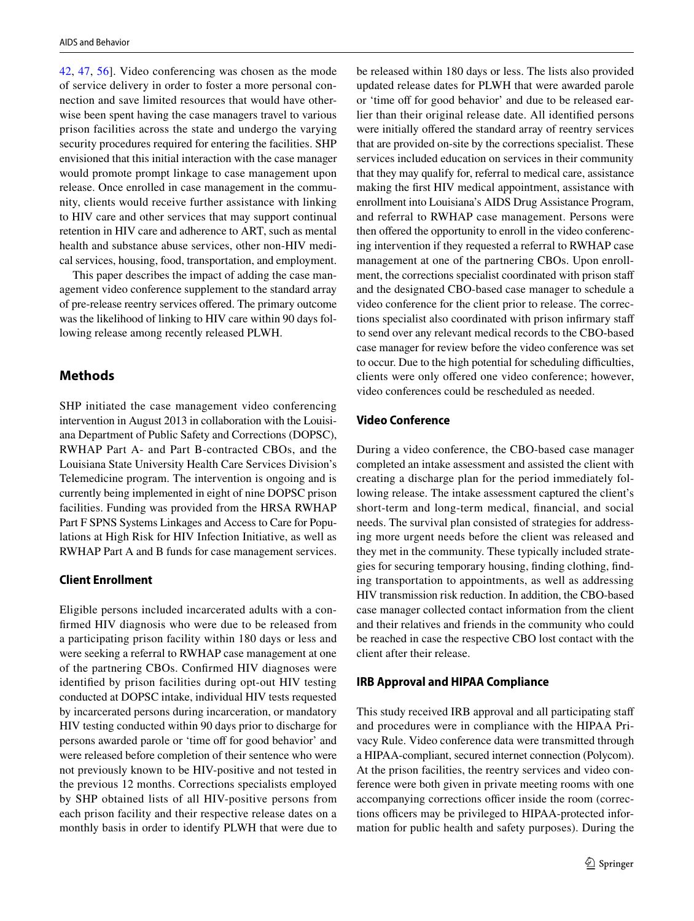[42](#page-8-18), [47](#page-8-11), [56\]](#page-8-19). Video conferencing was chosen as the mode of service delivery in order to foster a more personal connection and save limited resources that would have otherwise been spent having the case managers travel to various prison facilities across the state and undergo the varying security procedures required for entering the facilities. SHP envisioned that this initial interaction with the case manager would promote prompt linkage to case management upon release. Once enrolled in case management in the community, clients would receive further assistance with linking to HIV care and other services that may support continual retention in HIV care and adherence to ART, such as mental health and substance abuse services, other non-HIV medical services, housing, food, transportation, and employment.

This paper describes the impact of adding the case management video conference supplement to the standard array of pre-release reentry services ofered. The primary outcome was the likelihood of linking to HIV care within 90 days following release among recently released PLWH.

# **Methods**

SHP initiated the case management video conferencing intervention in August 2013 in collaboration with the Louisiana Department of Public Safety and Corrections (DOPSC), RWHAP Part A- and Part B-contracted CBOs, and the Louisiana State University Health Care Services Division's Telemedicine program. The intervention is ongoing and is currently being implemented in eight of nine DOPSC prison facilities. Funding was provided from the HRSA RWHAP Part F SPNS Systems Linkages and Access to Care for Populations at High Risk for HIV Infection Initiative, as well as RWHAP Part A and B funds for case management services.

## **Client Enrollment**

Eligible persons included incarcerated adults with a confrmed HIV diagnosis who were due to be released from a participating prison facility within 180 days or less and were seeking a referral to RWHAP case management at one of the partnering CBOs. Confrmed HIV diagnoses were identifed by prison facilities during opt-out HIV testing conducted at DOPSC intake, individual HIV tests requested by incarcerated persons during incarceration, or mandatory HIV testing conducted within 90 days prior to discharge for persons awarded parole or 'time off for good behavior' and were released before completion of their sentence who were not previously known to be HIV-positive and not tested in the previous 12 months. Corrections specialists employed by SHP obtained lists of all HIV-positive persons from each prison facility and their respective release dates on a monthly basis in order to identify PLWH that were due to be released within 180 days or less. The lists also provided updated release dates for PLWH that were awarded parole or 'time off for good behavior' and due to be released earlier than their original release date. All identifed persons were initially offered the standard array of reentry services that are provided on-site by the corrections specialist. These services included education on services in their community that they may qualify for, referral to medical care, assistance making the frst HIV medical appointment, assistance with enrollment into Louisiana's AIDS Drug Assistance Program, and referral to RWHAP case management. Persons were then offered the opportunity to enroll in the video conferencing intervention if they requested a referral to RWHAP case management at one of the partnering CBOs. Upon enrollment, the corrections specialist coordinated with prison staf and the designated CBO-based case manager to schedule a video conference for the client prior to release. The corrections specialist also coordinated with prison infrmary staf to send over any relevant medical records to the CBO-based case manager for review before the video conference was set to occur. Due to the high potential for scheduling difficulties, clients were only offered one video conference; however, video conferences could be rescheduled as needed.

### **Video Conference**

During a video conference, the CBO-based case manager completed an intake assessment and assisted the client with creating a discharge plan for the period immediately following release. The intake assessment captured the client's short-term and long-term medical, fnancial, and social needs. The survival plan consisted of strategies for addressing more urgent needs before the client was released and they met in the community. These typically included strategies for securing temporary housing, fnding clothing, fnding transportation to appointments, as well as addressing HIV transmission risk reduction. In addition, the CBO-based case manager collected contact information from the client and their relatives and friends in the community who could be reached in case the respective CBO lost contact with the client after their release.

#### **IRB Approval and HIPAA Compliance**

This study received IRB approval and all participating staf and procedures were in compliance with the HIPAA Privacy Rule. Video conference data were transmitted through a HIPAA-compliant, secured internet connection (Polycom). At the prison facilities, the reentry services and video conference were both given in private meeting rooms with one accompanying corrections officer inside the room (corrections officers may be privileged to HIPAA-protected information for public health and safety purposes). During the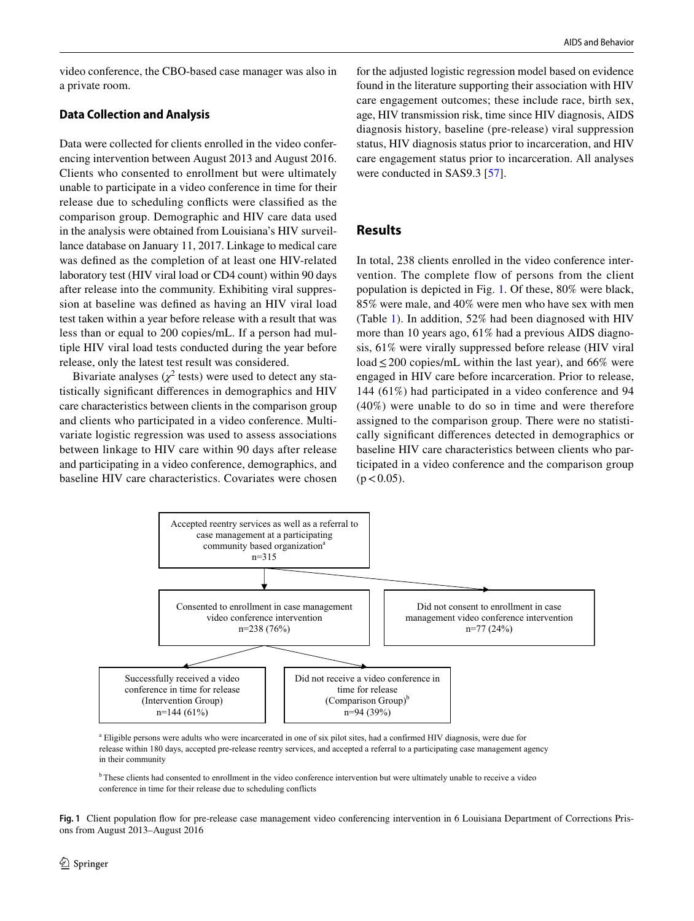video conference, the CBO-based case manager was also in a private room.

# **Data Collection and Analysis**

Data were collected for clients enrolled in the video conferencing intervention between August 2013 and August 2016. Clients who consented to enrollment but were ultimately unable to participate in a video conference in time for their release due to scheduling conficts were classifed as the comparison group. Demographic and HIV care data used in the analysis were obtained from Louisiana's HIV surveillance database on January 11, 2017. Linkage to medical care was defned as the completion of at least one HIV-related laboratory test (HIV viral load or CD4 count) within 90 days after release into the community. Exhibiting viral suppression at baseline was defned as having an HIV viral load test taken within a year before release with a result that was less than or equal to 200 copies/mL. If a person had multiple HIV viral load tests conducted during the year before release, only the latest test result was considered.

Bivariate analyses  $(\chi^2 \text{ tests})$  were used to detect any statistically signifcant diferences in demographics and HIV care characteristics between clients in the comparison group and clients who participated in a video conference. Multivariate logistic regression was used to assess associations between linkage to HIV care within 90 days after release and participating in a video conference, demographics, and baseline HIV care characteristics. Covariates were chosen for the adjusted logistic regression model based on evidence found in the literature supporting their association with HIV care engagement outcomes; these include race, birth sex, age, HIV transmission risk, time since HIV diagnosis, AIDS diagnosis history, baseline (pre-release) viral suppression status, HIV diagnosis status prior to incarceration, and HIV care engagement status prior to incarceration. All analyses were conducted in SAS9.3 [[57](#page-8-20)].

## **Results**

In total, 238 clients enrolled in the video conference intervention. The complete flow of persons from the client population is depicted in Fig. [1.](#page-3-0) Of these, 80% were black, 85% were male, and 40% were men who have sex with men (Table [1\)](#page-4-0). In addition, 52% had been diagnosed with HIV more than 10 years ago, 61% had a previous AIDS diagnosis, 61% were virally suppressed before release (HIV viral load  $\leq$  200 copies/mL within the last year), and 66% were engaged in HIV care before incarceration. Prior to release, 144 (61%) had participated in a video conference and 94 (40%) were unable to do so in time and were therefore assigned to the comparison group. There were no statistically signifcant diferences detected in demographics or baseline HIV care characteristics between clients who participated in a video conference and the comparison group  $(p < 0.05)$ .



<sup>a</sup> Eligible persons were adults who were incarcerated in one of six pilot sites, had a confirmed HIV diagnosis, were due for release within 180 days, accepted pre-release reentry services, and accepted a referral to a participating case management agency in their community

<sup>b</sup> These clients had consented to enrollment in the video conference intervention but were ultimately unable to receive a video conference in time for their release due to scheduling conflicts

<span id="page-3-0"></span>**Fig. 1** Client population fow for pre-release case management video conferencing intervention in 6 Louisiana Department of Corrections Prisons from August 2013–August 2016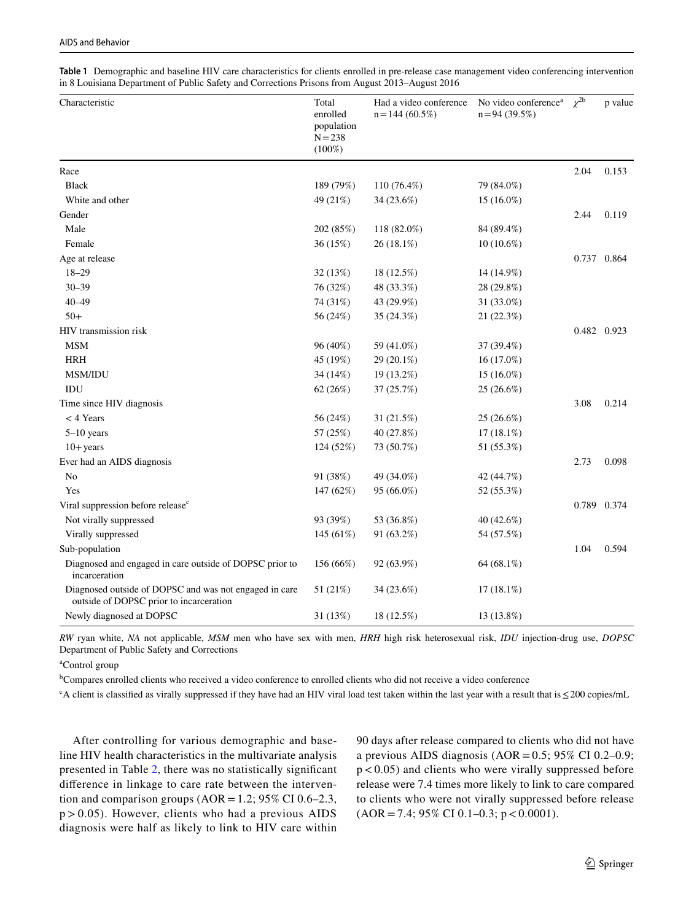<span id="page-4-0"></span>**Table 1** Demographic and baseline HIV care characteristics for clients enrolled in pre-release case management video conferencing intervention in 8 Louisiana Department of Public Safety and Corrections Prisons from August 2013–August 2016

| 2.04<br>Race<br><b>Black</b><br>189 (79%)<br>$110(76.4\%)$<br>79 (84.0%)<br>49 (21%)<br>34 (23.6%)<br>White and other<br>15 (16.0%)<br>Gender<br>2.44 | 0.153       |
|-------------------------------------------------------------------------------------------------------------------------------------------------------|-------------|
|                                                                                                                                                       |             |
|                                                                                                                                                       |             |
|                                                                                                                                                       |             |
|                                                                                                                                                       | 0.119       |
| Male<br>118 (82.0%)<br>202 (85%)<br>84 (89.4%)                                                                                                        |             |
| 36 (15%)<br>26 (18.1%)<br>Female<br>$10(10.6\%)$                                                                                                      |             |
| Age at release                                                                                                                                        | 0.737 0.864 |
| $18 - 29$<br>32 (13%)<br>18 (12.5%)<br>14 (14.9%)                                                                                                     |             |
| $30 - 39$<br>76 (32%)<br>48 (33.3%)<br>28 (29.8%)                                                                                                     |             |
| $40 - 49$<br>74 (31%)<br>43 (29.9%)<br>31 (33.0%)                                                                                                     |             |
| $50+$<br>56 (24%)<br>35 (24.3%)<br>21 (22.3%)                                                                                                         |             |
| HIV transmission risk                                                                                                                                 | 0.482 0.923 |
| <b>MSM</b><br>96 (40%)<br>59 (41.0%)<br>37 (39.4%)                                                                                                    |             |
| <b>HRH</b><br>45 (19%)<br>29 (20.1%)<br>$16(17.0\%)$                                                                                                  |             |
| MSM/IDU<br>34 (14%)<br>19 (13.2%)<br>$15(16.0\%)$                                                                                                     |             |
| IDU<br>37 (25.7%)<br>62(26%)<br>25 (26.6%)                                                                                                            |             |
| 3.08<br>Time since HIV diagnosis                                                                                                                      | 0.214       |
| $<$ 4 Years<br>56 (24%)<br>31 (21.5%)<br>25(26.6%)                                                                                                    |             |
| 40 (27.8%)<br>$5-10$ years<br>57 (25%)<br>$17(18.1\%)$                                                                                                |             |
| $10+$ years<br>124 (52%)<br>73 (50.7%)<br>51 (55.3%)                                                                                                  |             |
| Ever had an AIDS diagnosis<br>2.73                                                                                                                    | 0.098       |
| No<br>91 (38%)<br>49 (34.0%)<br>42 (44.7%)                                                                                                            |             |
| 95 (66.0%)<br>Yes<br>147 (62%)<br>52 (55.3%)                                                                                                          |             |
| Viral suppression before release <sup>c</sup><br>0.789                                                                                                | 0.374       |
| Not virally suppressed<br>93 (39%)<br>53 (36.8%)<br>40 $(42.6%)$                                                                                      |             |
| Virally suppressed<br>145 (61%)<br>91 (63.2%)<br>54 (57.5%)                                                                                           |             |
| Sub-population<br>1.04                                                                                                                                | 0.594       |
| Diagnosed and engaged in care outside of DOPSC prior to<br>$156(66\%)$<br>92 (63.9%)<br>$64(68.1\%)$<br>incarceration                                 |             |
| Diagnosed outside of DOPSC and was not engaged in care<br>51 (21%)<br>34 (23.6%)<br>$17(18.1\%)$<br>outside of DOPSC prior to incarceration           |             |
| Newly diagnosed at DOPSC<br>31 (13%)<br>18 (12.5%)<br>13 (13.8%)                                                                                      |             |

*RW* ryan white, *NA* not applicable, *MSM* men who have sex with men, *HRH* high risk heterosexual risk, *IDU* injection-drug use, *DOPSC* Department of Public Safety and Corrections

a Control group

<sup>b</sup>Compares enrolled clients who received a video conference to enrolled clients who did not receive a video conference

c A client is classifed as virally suppressed if they have had an HIV viral load test taken within the last year with a result that is≤200 copies/mL

After controlling for various demographic and baseline HIV health characteristics in the multivariate analysis presented in Table [2](#page-5-0), there was no statistically signifcant diference in linkage to care rate between the intervention and comparison groups  $(AOR = 1.2; 95\% \text{ CI } 0.6-2.3,$  $p > 0.05$ ). However, clients who had a previous AIDS diagnosis were half as likely to link to HIV care within 90 days after release compared to clients who did not have a previous AIDS diagnosis (AOR=0.5; 95% CI 0.2–0.9;  $p$  < 0.05) and clients who were virally suppressed before release were 7.4 times more likely to link to care compared to clients who were not virally suppressed before release  $(AOR = 7.4; 95\% \text{ CI } 0.1 - 0.3; p < 0.0001).$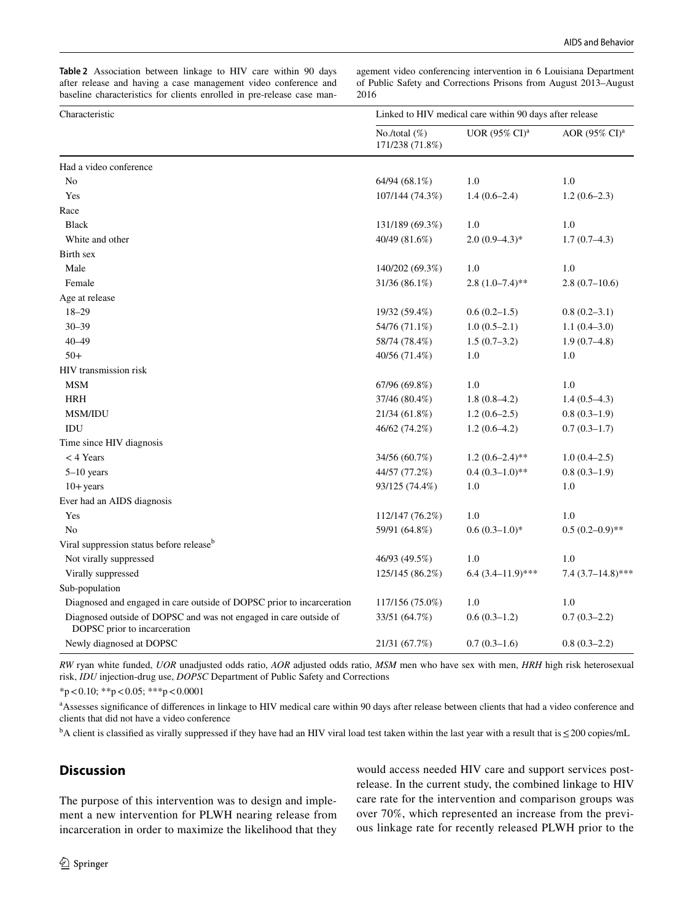<span id="page-5-0"></span>**Table 2** Association between linkage to HIV care within 90 days after release and having a case management video conference and baseline characteristics for clients enrolled in pre-release case management video conferencing intervention in 6 Louisiana Department of Public Safety and Corrections Prisons from August 2013–August 2016

| Characteristic                                                                                    | Linked to HIV medical care within 90 days after release |                           |                                    |  |
|---------------------------------------------------------------------------------------------------|---------------------------------------------------------|---------------------------|------------------------------------|--|
|                                                                                                   | No./total $(\%)$<br>171/238 (71.8%)                     | UOR $(95\% \text{ CI})^a$ | AOR $(95\% \text{ CI})^{\text{a}}$ |  |
| Had a video conference                                                                            |                                                         |                           |                                    |  |
| N <sub>0</sub>                                                                                    | 64/94 (68.1%)                                           | 1.0                       | 1.0                                |  |
| Yes                                                                                               | 107/144 (74.3%)                                         | $1.4(0.6-2.4)$            | $1.2(0.6-2.3)$                     |  |
| Race                                                                                              |                                                         |                           |                                    |  |
| <b>Black</b>                                                                                      | 131/189 (69.3%)                                         | 1.0                       | 1.0                                |  |
| White and other                                                                                   | 40/49 (81.6%)                                           | $2.0(0.9-4.3)*$           | $1.7(0.7-4.3)$                     |  |
| Birth sex                                                                                         |                                                         |                           |                                    |  |
| Male                                                                                              | 140/202 (69.3%)                                         | 1.0                       | 1.0                                |  |
| Female                                                                                            | 31/36 (86.1%)                                           | $2.8(1.0-7.4)$ **         | $2.8(0.7-10.6)$                    |  |
| Age at release                                                                                    |                                                         |                           |                                    |  |
| $18 - 29$                                                                                         | 19/32 (59.4%)                                           | $0.6(0.2-1.5)$            | $0.8(0.2-3.1)$                     |  |
| $30 - 39$                                                                                         | 54/76 (71.1%)                                           | $1.0(0.5-2.1)$            | $1.1(0.4-3.0)$                     |  |
| $40 - 49$                                                                                         | 58/74 (78.4%)                                           | $1.5(0.7-3.2)$            | $1.9(0.7-4.8)$                     |  |
| $50+$                                                                                             | 40/56 (71.4%)                                           | 1.0                       | 1.0                                |  |
| HIV transmission risk                                                                             |                                                         |                           |                                    |  |
| <b>MSM</b>                                                                                        | 67/96 (69.8%)                                           | 1.0                       | 1.0                                |  |
| <b>HRH</b>                                                                                        | 37/46 (80.4%)                                           | $1.8(0.8-4.2)$            | $1.4(0.5-4.3)$                     |  |
| <b>MSM/IDU</b>                                                                                    | 21/34 (61.8%)                                           | $1.2(0.6-2.5)$            | $0.8(0.3-1.9)$                     |  |
| IDU                                                                                               | 46/62 (74.2%)                                           | $1.2(0.6-4.2)$            | $0.7(0.3-1.7)$                     |  |
| Time since HIV diagnosis                                                                          |                                                         |                           |                                    |  |
| $<$ 4 Years                                                                                       | 34/56 (60.7%)                                           | $1.2(0.6-2.4)$ **         | $1.0(0.4-2.5)$                     |  |
| $5-10$ years                                                                                      | 44/57 (77.2%)                                           | $0.4(0.3-1.0)**$          | $0.8(0.3-1.9)$                     |  |
| $10+$ years                                                                                       | 93/125 (74.4%)                                          | 1.0                       | 1.0                                |  |
| Ever had an AIDS diagnosis                                                                        |                                                         |                           |                                    |  |
| Yes                                                                                               | 112/147 (76.2%)                                         | 1.0                       | 1.0                                |  |
| N <sub>0</sub>                                                                                    | 59/91 (64.8%)                                           | $0.6(0.3-1.0)$ *          | $0.5(0.2-0.9)$ **                  |  |
| Viral suppression status before release <sup>b</sup>                                              |                                                         |                           |                                    |  |
| Not virally suppressed                                                                            | 46/93 (49.5%)                                           | 1.0                       | 1.0                                |  |
| Virally suppressed                                                                                | 125/145 (86.2%)                                         | $6.4(3.4–11.9)$ ***       | $7.4(3.7–14.8)$ ***                |  |
| Sub-population                                                                                    |                                                         |                           |                                    |  |
| Diagnosed and engaged in care outside of DOPSC prior to incarceration                             | 117/156 (75.0%)                                         | 1.0                       | 1.0                                |  |
| Diagnosed outside of DOPSC and was not engaged in care outside of<br>DOPSC prior to incarceration | 33/51 (64.7%)                                           | $0.6(0.3-1.2)$            | $0.7(0.3-2.2)$                     |  |
| Newly diagnosed at DOPSC                                                                          | 21/31 (67.7%)                                           | $0.7(0.3-1.6)$            | $0.8(0.3-2.2)$                     |  |

*RW* ryan white funded, *UOR* unadjusted odds ratio, *AOR* adjusted odds ratio, *MSM* men who have sex with men, *HRH* high risk heterosexual risk, *IDU* injection-drug use, *DOPSC* Department of Public Safety and Corrections

 $*p < 0.10$ ;  $* p < 0.05$ ;  $* * p < 0.0001$ 

<sup>a</sup> Assesses significance of differences in linkage to HIV medical care within 90 days after release between clients that had a video conference and clients that did not have a video conference

<sup>b</sup>A client is classified as virally suppressed if they have had an HIV viral load test taken within the last year with a result that is ≤200 copies/mL

# **Discussion**

The purpose of this intervention was to design and implement a new intervention for PLWH nearing release from incarceration in order to maximize the likelihood that they

would access needed HIV care and support services postrelease. In the current study, the combined linkage to HIV care rate for the intervention and comparison groups was over 70%, which represented an increase from the previous linkage rate for recently released PLWH prior to the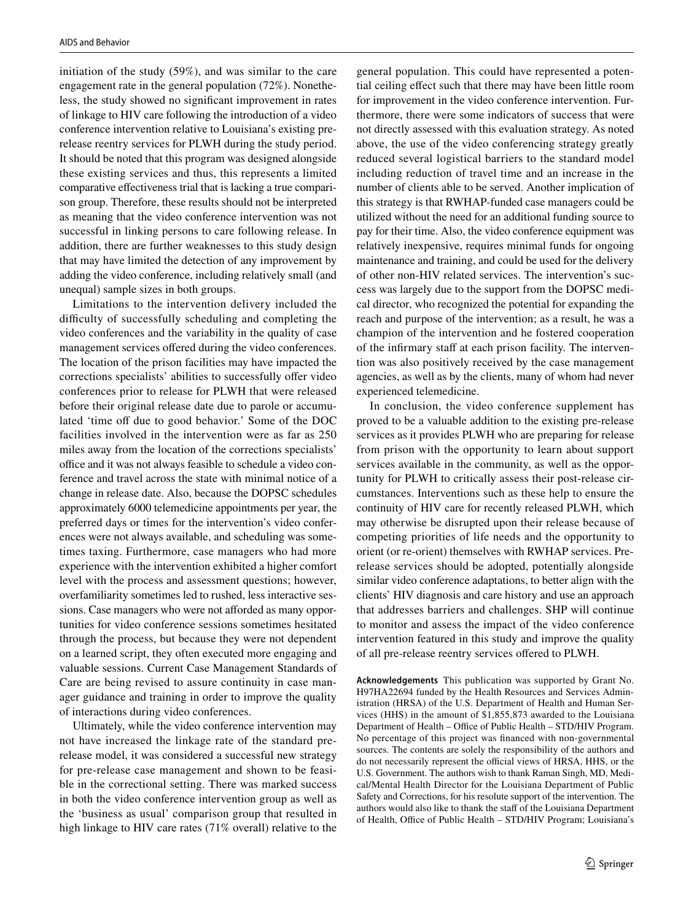initiation of the study (59%), and was similar to the care engagement rate in the general population (72%). Nonetheless, the study showed no signifcant improvement in rates of linkage to HIV care following the introduction of a video conference intervention relative to Louisiana's existing prerelease reentry services for PLWH during the study period. It should be noted that this program was designed alongside these existing services and thus, this represents a limited comparative efectiveness trial that is lacking a true comparison group. Therefore, these results should not be interpreted as meaning that the video conference intervention was not successful in linking persons to care following release. In addition, there are further weaknesses to this study design that may have limited the detection of any improvement by adding the video conference, including relatively small (and unequal) sample sizes in both groups.

Limitations to the intervention delivery included the difficulty of successfully scheduling and completing the video conferences and the variability in the quality of case management services offered during the video conferences. The location of the prison facilities may have impacted the corrections specialists' abilities to successfully offer video conferences prior to release for PLWH that were released before their original release date due to parole or accumulated 'time off due to good behavior.' Some of the DOC facilities involved in the intervention were as far as 250 miles away from the location of the corrections specialists' office and it was not always feasible to schedule a video conference and travel across the state with minimal notice of a change in release date. Also, because the DOPSC schedules approximately 6000 telemedicine appointments per year, the preferred days or times for the intervention's video conferences were not always available, and scheduling was sometimes taxing. Furthermore, case managers who had more experience with the intervention exhibited a higher comfort level with the process and assessment questions; however, overfamiliarity sometimes led to rushed, less interactive sessions. Case managers who were not afforded as many opportunities for video conference sessions sometimes hesitated through the process, but because they were not dependent on a learned script, they often executed more engaging and valuable sessions. Current Case Management Standards of Care are being revised to assure continuity in case manager guidance and training in order to improve the quality of interactions during video conferences.

Ultimately, while the video conference intervention may not have increased the linkage rate of the standard prerelease model, it was considered a successful new strategy for pre-release case management and shown to be feasible in the correctional setting. There was marked success in both the video conference intervention group as well as the 'business as usual' comparison group that resulted in high linkage to HIV care rates (71% overall) relative to the general population. This could have represented a potential ceiling efect such that there may have been little room for improvement in the video conference intervention. Furthermore, there were some indicators of success that were not directly assessed with this evaluation strategy. As noted above, the use of the video conferencing strategy greatly reduced several logistical barriers to the standard model including reduction of travel time and an increase in the number of clients able to be served. Another implication of this strategy is that RWHAP-funded case managers could be utilized without the need for an additional funding source to pay for their time. Also, the video conference equipment was relatively inexpensive, requires minimal funds for ongoing maintenance and training, and could be used for the delivery of other non-HIV related services. The intervention's success was largely due to the support from the DOPSC medical director, who recognized the potential for expanding the reach and purpose of the intervention; as a result, he was a champion of the intervention and he fostered cooperation of the infirmary staff at each prison facility. The intervention was also positively received by the case management agencies, as well as by the clients, many of whom had never experienced telemedicine.

In conclusion, the video conference supplement has proved to be a valuable addition to the existing pre-release services as it provides PLWH who are preparing for release from prison with the opportunity to learn about support services available in the community, as well as the opportunity for PLWH to critically assess their post-release circumstances. Interventions such as these help to ensure the continuity of HIV care for recently released PLWH, which may otherwise be disrupted upon their release because of competing priorities of life needs and the opportunity to orient (or re-orient) themselves with RWHAP services. Prerelease services should be adopted, potentially alongside similar video conference adaptations, to better align with the clients' HIV diagnosis and care history and use an approach that addresses barriers and challenges. SHP will continue to monitor and assess the impact of the video conference intervention featured in this study and improve the quality of all pre-release reentry services ofered to PLWH.

**Acknowledgements** This publication was supported by Grant No. H97HA22694 funded by the Health Resources and Services Administration (HRSA) of the U.S. Department of Health and Human Services (HHS) in the amount of \$1,855,873 awarded to the Louisiana Department of Health – Office of Public Health – STD/HIV Program. No percentage of this project was fnanced with non-governmental sources. The contents are solely the responsibility of the authors and do not necessarily represent the official views of HRSA, HHS, or the U.S. Government. The authors wish to thank Raman Singh, MD, Medical/Mental Health Director for the Louisiana Department of Public Safety and Corrections, for his resolute support of the intervention. The authors would also like to thank the staf of the Louisiana Department of Health, Office of Public Health - STD/HIV Program; Louisiana's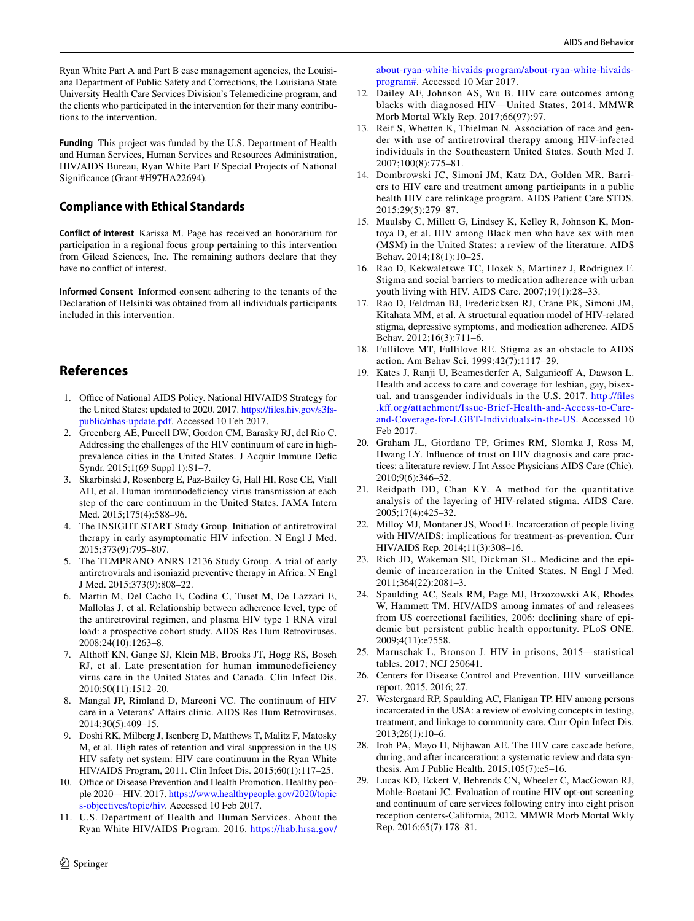Ryan White Part A and Part B case management agencies, the Louisiana Department of Public Safety and Corrections, the Louisiana State University Health Care Services Division's Telemedicine program, and the clients who participated in the intervention for their many contributions to the intervention.

**Funding** This project was funded by the U.S. Department of Health and Human Services, Human Services and Resources Administration, HIV/AIDS Bureau, Ryan White Part F Special Projects of National Signifcance (Grant #H97HA22694).

## **Compliance with Ethical Standards**

**Conflict of interest** Karissa M. Page has received an honorarium for participation in a regional focus group pertaining to this intervention from Gilead Sciences, Inc. The remaining authors declare that they have no confict of interest.

**Informed Consent** Informed consent adhering to the tenants of the Declaration of Helsinki was obtained from all individuals participants included in this intervention.

# **References**

- <span id="page-7-0"></span>1. Office of National AIDS Policy. National HIV/AIDS Strategy for the United States: updated to 2020. 2017. [https://fles.hiv.gov/s3fs](https://files.hiv.gov/s3fs-public/nhas-update.pdf)[public/nhas-update.pdf](https://files.hiv.gov/s3fs-public/nhas-update.pdf). Accessed 10 Feb 2017.
- <span id="page-7-2"></span>2. Greenberg AE, Purcell DW, Gordon CM, Barasky RJ, del Rio C. Addressing the challenges of the HIV continuum of care in highprevalence cities in the United States. J Acquir Immune Defc Syndr. 2015;1(69 Suppl 1):S1–7.
- <span id="page-7-1"></span>3. Skarbinski J, Rosenberg E, Paz-Bailey G, Hall HI, Rose CE, Viall AH, et al. Human immunodeficiency virus transmission at each step of the care continuum in the United States. JAMA Intern Med. 2015;175(4):588–96.
- <span id="page-7-3"></span>4. The INSIGHT START Study Group. Initiation of antiretroviral therapy in early asymptomatic HIV infection. N Engl J Med. 2015;373(9):795–807.
- 5. The TEMPRANO ANRS 12136 Study Group. A trial of early antiretrovirals and isoniazid preventive therapy in Africa. N Engl J Med. 2015;373(9):808–22.
- 6. Martin M, Del Cacho E, Codina C, Tuset M, De Lazzari E, Mallolas J, et al. Relationship between adherence level, type of the antiretroviral regimen, and plasma HIV type 1 RNA viral load: a prospective cohort study. AIDS Res Hum Retroviruses. 2008;24(10):1263–8.
- <span id="page-7-4"></span>7. Althoff KN, Gange SJ, Klein MB, Brooks JT, Hogg RS, Bosch RJ, et al. Late presentation for human immunodeficiency virus care in the United States and Canada. Clin Infect Dis. 2010;50(11):1512–20.
- <span id="page-7-5"></span>8. Mangal JP, Rimland D, Marconi VC. The continuum of HIV care in a Veterans' Afairs clinic. AIDS Res Hum Retroviruses. 2014;30(5):409–15.
- <span id="page-7-6"></span>9. Doshi RK, Milberg J, Isenberg D, Matthews T, Malitz F, Matosky M, et al. High rates of retention and viral suppression in the US HIV safety net system: HIV care continuum in the Ryan White HIV/AIDS Program, 2011. Clin Infect Dis. 2015;60(1):117–25.
- <span id="page-7-7"></span>10. Office of Disease Prevention and Health Promotion. Healthy people 2020—HIV. 2017. [https://www.healthypeople.gov/2020/topic](https://www.healthypeople.gov/2020/topics-objectives/topic/hiv) [s-objectives/topic/hiv](https://www.healthypeople.gov/2020/topics-objectives/topic/hiv). Accessed 10 Feb 2017.
- <span id="page-7-8"></span>11. U.S. Department of Health and Human Services. About the Ryan White HIV/AIDS Program. 2016. [https://hab.hrsa.gov/](https://hab.hrsa.gov/about-ryan-white-hivaids-program/about-ryan-white-hivaids-program%23)

[about-ryan-white-hivaids-program/about-ryan-white-hivaids](https://hab.hrsa.gov/about-ryan-white-hivaids-program/about-ryan-white-hivaids-program%23)[program#.](https://hab.hrsa.gov/about-ryan-white-hivaids-program/about-ryan-white-hivaids-program%23) Accessed 10 Mar 2017.

- <span id="page-7-9"></span>12. Dailey AF, Johnson AS, Wu B. HIV care outcomes among blacks with diagnosed HIV—United States, 2014. MMWR Morb Mortal Wkly Rep. 2017;66(97):97.
- <span id="page-7-10"></span>13. Reif S, Whetten K, Thielman N. Association of race and gender with use of antiretroviral therapy among HIV-infected individuals in the Southeastern United States. South Med J. 2007;100(8):775–81.
- <span id="page-7-11"></span>14. Dombrowski JC, Simoni JM, Katz DA, Golden MR. Barriers to HIV care and treatment among participants in a public health HIV care relinkage program. AIDS Patient Care STDS. 2015;29(5):279–87.
- 15. Maulsby C, Millett G, Lindsey K, Kelley R, Johnson K, Montoya D, et al. HIV among Black men who have sex with men (MSM) in the United States: a review of the literature. AIDS Behav. 2014;18(1):10–25.
- 16. Rao D, Kekwaletswe TC, Hosek S, Martinez J, Rodriguez F. Stigma and social barriers to medication adherence with urban youth living with HIV. AIDS Care. 2007;19(1):28–33.
- 17. Rao D, Feldman BJ, Fredericksen RJ, Crane PK, Simoni JM, Kitahata MM, et al. A structural equation model of HIV-related stigma, depressive symptoms, and medication adherence. AIDS Behav. 2012;16(3):711–6.
- 18. Fullilove MT, Fullilove RE. Stigma as an obstacle to AIDS action. Am Behav Sci. 1999;42(7):1117–29.
- 19. Kates J, Ranji U, Beamesderfer A, Salganicof A, Dawson L. Health and access to care and coverage for lesbian, gay, bisexual, and transgender individuals in the U.S. 2017. [http://fles](http://files.kff.org/attachment/Issue-Brief-Health-and-Access-to-Care-and-Coverage-for-LGBT-Individuals-in-the-US) [.kf.org/attachment/Issue-Brief-Health-and-Access-to-Care](http://files.kff.org/attachment/Issue-Brief-Health-and-Access-to-Care-and-Coverage-for-LGBT-Individuals-in-the-US)[and-Coverage-for-LGBT-Individuals-in-the-US](http://files.kff.org/attachment/Issue-Brief-Health-and-Access-to-Care-and-Coverage-for-LGBT-Individuals-in-the-US). Accessed 10 Feb 2017.
- 20. Graham JL, Giordano TP, Grimes RM, Slomka J, Ross M, Hwang LY. Infuence of trust on HIV diagnosis and care practices: a literature review. J Int Assoc Physicians AIDS Care (Chic). 2010;9(6):346–52.
- <span id="page-7-12"></span>21. Reidpath DD, Chan KY. A method for the quantitative analysis of the layering of HIV-related stigma. AIDS Care. 2005;17(4):425–32.
- <span id="page-7-13"></span>22. Milloy MJ, Montaner JS, Wood E. Incarceration of people living with HIV/AIDS: implications for treatment-as-prevention. Curr HIV/AIDS Rep. 2014;11(3):308–16.
- <span id="page-7-19"></span>23. Rich JD, Wakeman SE, Dickman SL. Medicine and the epidemic of incarceration in the United States. N Engl J Med. 2011;364(22):2081–3.
- <span id="page-7-14"></span>24. Spaulding AC, Seals RM, Page MJ, Brzozowski AK, Rhodes W, Hammett TM. HIV/AIDS among inmates of and releasees from US correctional facilities, 2006: declining share of epidemic but persistent public health opportunity. PLoS ONE. 2009;4(11):e7558.
- <span id="page-7-15"></span>25. Maruschak L, Bronson J. HIV in prisons, 2015—statistical tables. 2017; NCJ 250641.
- <span id="page-7-16"></span>26. Centers for Disease Control and Prevention. HIV surveillance report, 2015. 2016; 27.
- <span id="page-7-17"></span>27. Westergaard RP, Spaulding AC, Flanigan TP. HIV among persons incarcerated in the USA: a review of evolving concepts in testing, treatment, and linkage to community care. Curr Opin Infect Dis. 2013;26(1):10–6.
- <span id="page-7-18"></span>28. Iroh PA, Mayo H, Nijhawan AE. The HIV care cascade before, during, and after incarceration: a systematic review and data synthesis. Am J Public Health. 2015;105(7):e5–16.
- 29. Lucas KD, Eckert V, Behrends CN, Wheeler C, MacGowan RJ, Mohle-Boetani JC. Evaluation of routine HIV opt-out screening and continuum of care services following entry into eight prison reception centers-California, 2012. MMWR Morb Mortal Wkly Rep. 2016;65(7):178–81.